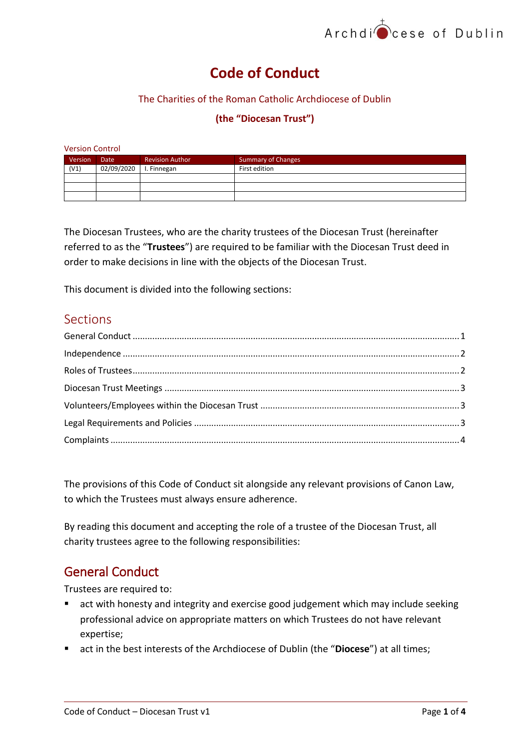

# **Code of Conduct**

#### The Charities of the Roman Catholic Archdiocese of Dublin

#### **(the "Diocesan Trust")**

| <b>Version Control</b> |             |                                                     |               |  |  |  |  |  |  |
|------------------------|-------------|-----------------------------------------------------|---------------|--|--|--|--|--|--|
| Version                | <b>Date</b> | <b>Revision Author</b><br><b>Summary of Changes</b> |               |  |  |  |  |  |  |
| (V1)                   | 02/09/2020  | I. Finnegan                                         | First edition |  |  |  |  |  |  |
|                        |             |                                                     |               |  |  |  |  |  |  |
|                        |             |                                                     |               |  |  |  |  |  |  |
|                        |             |                                                     |               |  |  |  |  |  |  |

The Diocesan Trustees, who are the charity trustees of the Diocesan Trust (hereinafter referred to as the "**Trustees**") are required to be familiar with the Diocesan Trust deed in order to make decisions in line with the objects of the Diocesan Trust.

This document is divided into the following sections:

### **Sections**

The provisions of this Code of Conduct sit alongside any relevant provisions of Canon Law, to which the Trustees must always ensure adherence.

By reading this document and accepting the role of a trustee of the Diocesan Trust, all charity trustees agree to the following responsibilities:

### <span id="page-0-0"></span>General Conduct

Trustees are required to:

- act with honesty and integrity and exercise good judgement which may include seeking professional advice on appropriate matters on which Trustees do not have relevant expertise;
- act in the best interests of the Archdiocese of Dublin (the "Diocese") at all times;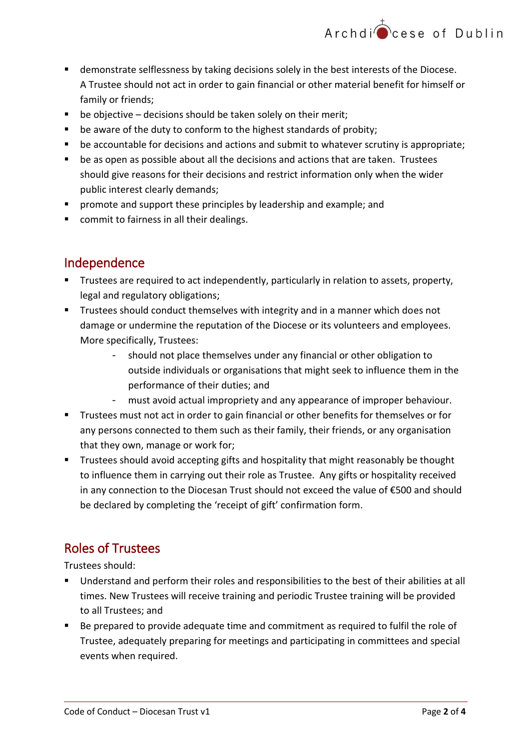

- demonstrate selflessness by taking decisions solely in the best interests of the Diocese. A Trustee should not act in order to gain financial or other material benefit for himself or family or friends;
- $\blacksquare$  be objective decisions should be taken solely on their merit;
- **•** be aware of the duty to conform to the highest standards of probity;
- be accountable for decisions and actions and submit to whatever scrutiny is appropriate;
- be as open as possible about all the decisions and actions that are taken. Trustees should give reasons for their decisions and restrict information only when the wider public interest clearly demands;
- **P** promote and support these principles by leadership and example; and
- **•** commit to fairness in all their dealings.

## <span id="page-1-0"></span>Independence

- **Trustees are required to act independently, particularly in relation to assets, property,** legal and regulatory obligations;
- **Trustees should conduct themselves with integrity and in a manner which does not** damage or undermine the reputation of the Diocese or its volunteers and employees. More specifically, Trustees:
	- should not place themselves under any financial or other obligation to outside individuals or organisations that might seek to influence them in the performance of their duties; and
	- must avoid actual impropriety and any appearance of improper behaviour.
- Trustees must not act in order to gain financial or other benefits for themselves or for any persons connected to them such as their family, their friends, or any organisation that they own, manage or work for;
- **Trustees should avoid accepting gifts and hospitality that might reasonably be thought** to influence them in carrying out their role as Trustee. Any gifts or hospitality received in any connection to the Diocesan Trust should not exceed the value of €500 and should be declared by completing the 'receipt of gift' confirmation form.

# <span id="page-1-1"></span>Roles of Trustees

Trustees should:

- Understand and perform their roles and responsibilities to the best of their abilities at all times. New Trustees will receive training and periodic Trustee training will be provided to all Trustees; and
- Be prepared to provide adequate time and commitment as required to fulfil the role of Trustee, adequately preparing for meetings and participating in committees and special events when required.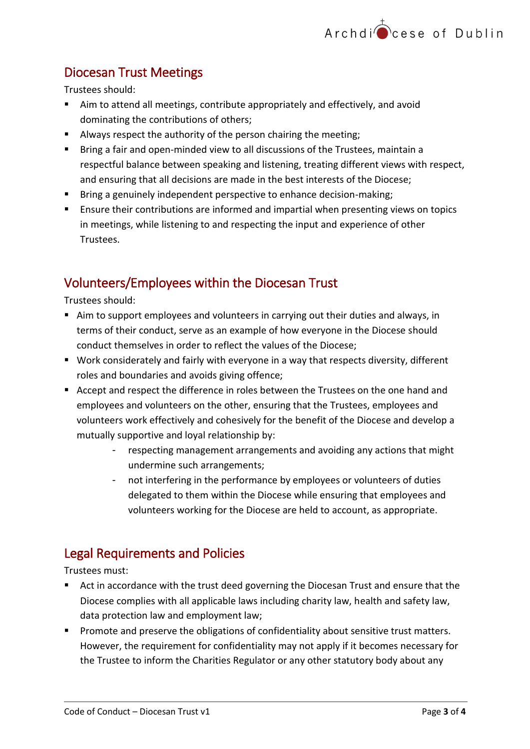# <span id="page-2-0"></span>Diocesan Trust Meetings

Trustees should:

- Aim to attend all meetings, contribute appropriately and effectively, and avoid dominating the contributions of others;
- Always respect the authority of the person chairing the meeting;
- **Bring a fair and open-minded view to all discussions of the Trustees, maintain a** respectful balance between speaking and listening, treating different views with respect, and ensuring that all decisions are made in the best interests of the Diocese;
- **Bring a genuinely independent perspective to enhance decision-making;**
- Ensure their contributions are informed and impartial when presenting views on topics in meetings, while listening to and respecting the input and experience of other Trustees.

# <span id="page-2-1"></span>Volunteers/Employees within the Diocesan Trust

Trustees should:

- Aim to support employees and volunteers in carrying out their duties and always, in terms of their conduct, serve as an example of how everyone in the Diocese should conduct themselves in order to reflect the values of the Diocese;
- Work considerately and fairly with everyone in a way that respects diversity, different roles and boundaries and avoids giving offence;
- Accept and respect the difference in roles between the Trustees on the one hand and employees and volunteers on the other, ensuring that the Trustees, employees and volunteers work effectively and cohesively for the benefit of the Diocese and develop a mutually supportive and loyal relationship by:
	- respecting management arrangements and avoiding any actions that might undermine such arrangements;
	- not interfering in the performance by employees or volunteers of duties delegated to them within the Diocese while ensuring that employees and volunteers working for the Diocese are held to account, as appropriate.

# <span id="page-2-2"></span>Legal Requirements and Policies

Trustees must:

- Act in accordance with the trust deed governing the Diocesan Trust and ensure that the Diocese complies with all applicable laws including charity law, health and safety law, data protection law and employment law;
- **Promote and preserve the obligations of confidentiality about sensitive trust matters.** However, the requirement for confidentiality may not apply if it becomes necessary for the Trustee to inform the Charities Regulator or any other statutory body about any